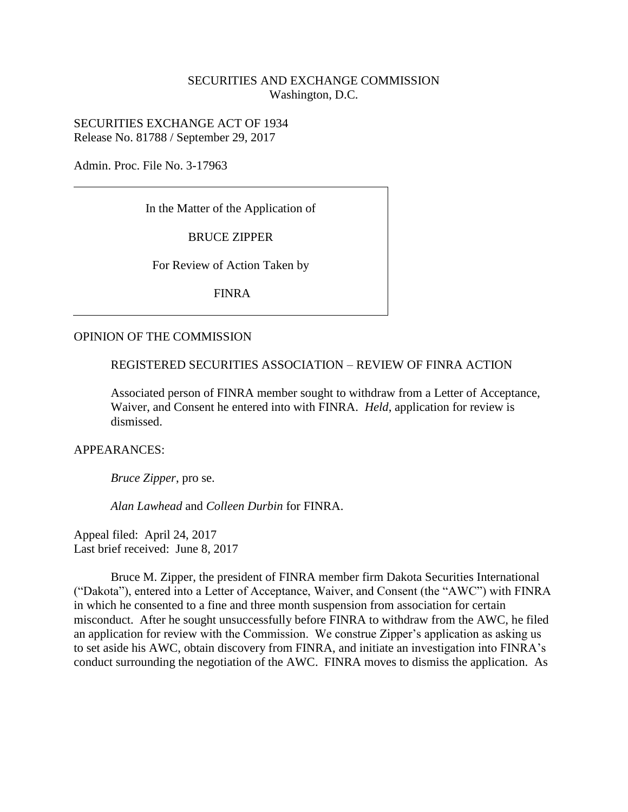# SECURITIES AND EXCHANGE COMMISSION Washington, D.C.

SECURITIES EXCHANGE ACT OF 1934 Release No. 81788 / September 29, 2017

Admin. Proc. File No. 3-17963

In the Matter of the Application of

BRUCE ZIPPER

For Review of Action Taken by

FINRA

#### OPINION OF THE COMMISSION

REGISTERED SECURITIES ASSOCIATION – REVIEW OF FINRA ACTION

Associated person of FINRA member sought to withdraw from a Letter of Acceptance, Waiver, and Consent he entered into with FINRA. *Held*, application for review is dismissed.

APPEARANCES:

*Bruce Zipper*, pro se.

*Alan Lawhead* and *Colleen Durbin* for FINRA.

Appeal filed: April 24, 2017 Last brief received: June 8, 2017

Bruce M. Zipper, the president of FINRA member firm Dakota Securities International ("Dakota"), entered into a Letter of Acceptance, Waiver, and Consent (the "AWC") with FINRA in which he consented to a fine and three month suspension from association for certain misconduct. After he sought unsuccessfully before FINRA to withdraw from the AWC, he filed an application for review with the Commission. We construe Zipper's application as asking us to set aside his AWC, obtain discovery from FINRA, and initiate an investigation into FINRA's conduct surrounding the negotiation of the AWC. FINRA moves to dismiss the application. As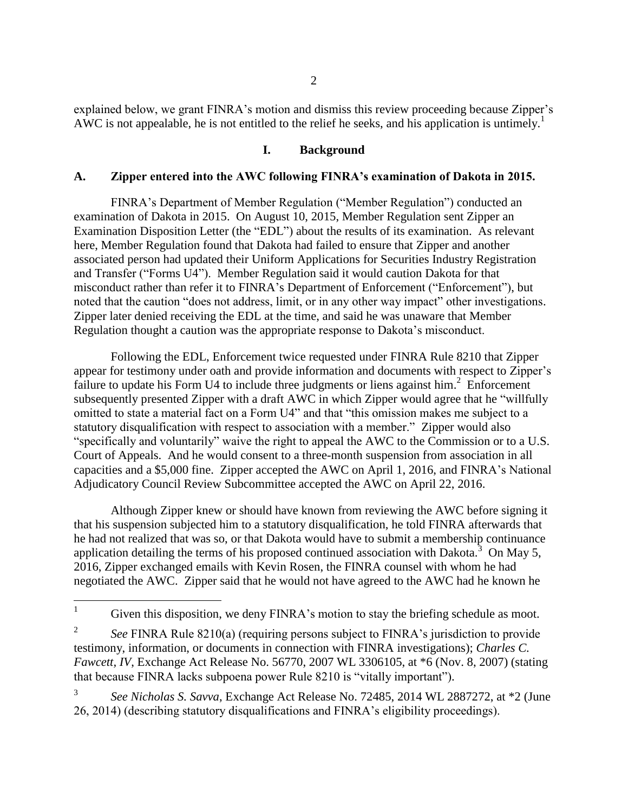explained below, we grant FINRA's motion and dismiss this review proceeding because Zipper's AWC is not appealable, he is not entitled to the relief he seeks, and his application is untimely.<sup>1</sup>

### **I. Background**

#### **A. Zipper entered into the AWC following FINRA's examination of Dakota in 2015.**

FINRA's Department of Member Regulation ("Member Regulation") conducted an examination of Dakota in 2015. On August 10, 2015, Member Regulation sent Zipper an Examination Disposition Letter (the "EDL") about the results of its examination. As relevant here, Member Regulation found that Dakota had failed to ensure that Zipper and another associated person had updated their Uniform Applications for Securities Industry Registration and Transfer ("Forms U4"). Member Regulation said it would caution Dakota for that misconduct rather than refer it to FINRA's Department of Enforcement ("Enforcement"), but noted that the caution "does not address, limit, or in any other way impact" other investigations. Zipper later denied receiving the EDL at the time, and said he was unaware that Member Regulation thought a caution was the appropriate response to Dakota's misconduct.

Following the EDL, Enforcement twice requested under FINRA Rule 8210 that Zipper appear for testimony under oath and provide information and documents with respect to Zipper's failure to update his Form U4 to include three judgments or liens against him.<sup>2</sup> Enforcement subsequently presented Zipper with a draft AWC in which Zipper would agree that he "willfully omitted to state a material fact on a Form U4" and that "this omission makes me subject to a statutory disqualification with respect to association with a member." Zipper would also "specifically and voluntarily" waive the right to appeal the AWC to the Commission or to a U.S. Court of Appeals. And he would consent to a three-month suspension from association in all capacities and a \$5,000 fine. Zipper accepted the AWC on April 1, 2016, and FINRA's National Adjudicatory Council Review Subcommittee accepted the AWC on April 22, 2016.

Although Zipper knew or should have known from reviewing the AWC before signing it that his suspension subjected him to a statutory disqualification, he told FINRA afterwards that he had not realized that was so, or that Dakota would have to submit a membership continuance application detailing the terms of his proposed continued association with Dakota.<sup>3</sup> On May 5, 2016, Zipper exchanged emails with Kevin Rosen, the FINRA counsel with whom he had negotiated the AWC. Zipper said that he would not have agreed to the AWC had he known he

3 *See Nicholas S. Savva*, Exchange Act Release No. 72485, 2014 WL 2887272, at \*2 (June 26, 2014) (describing statutory disqualifications and FINRA's eligibility proceedings).

 $\mathbf{1}$ Given this disposition, we deny FINRA's motion to stay the briefing schedule as moot.

<sup>2</sup> *See* FINRA Rule 8210(a) (requiring persons subject to FINRA's jurisdiction to provide testimony, information, or documents in connection with FINRA investigations); *Charles C. Fawcett, IV*, Exchange Act Release No. 56770, 2007 WL 3306105, at \*6 (Nov. 8, 2007) (stating that because FINRA lacks subpoena power Rule 8210 is "vitally important").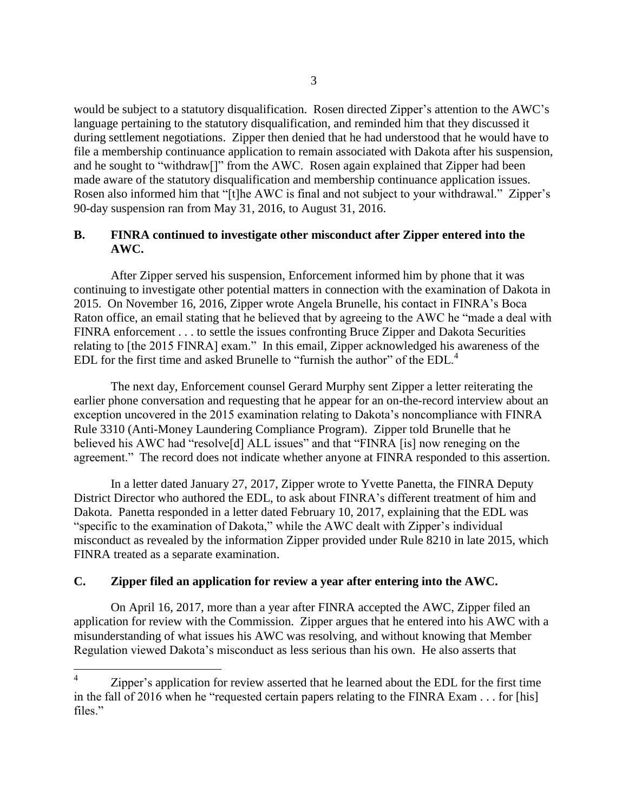would be subject to a statutory disqualification. Rosen directed Zipper's attention to the AWC's language pertaining to the statutory disqualification, and reminded him that they discussed it during settlement negotiations. Zipper then denied that he had understood that he would have to file a membership continuance application to remain associated with Dakota after his suspension, and he sought to "withdraw[]" from the AWC. Rosen again explained that Zipper had been made aware of the statutory disqualification and membership continuance application issues. Rosen also informed him that "[t]he AWC is final and not subject to your withdrawal." Zipper's 90-day suspension ran from May 31, 2016, to August 31, 2016.

### **B. FINRA continued to investigate other misconduct after Zipper entered into the AWC.**

After Zipper served his suspension, Enforcement informed him by phone that it was continuing to investigate other potential matters in connection with the examination of Dakota in 2015. On November 16, 2016, Zipper wrote Angela Brunelle, his contact in FINRA's Boca Raton office, an email stating that he believed that by agreeing to the AWC he "made a deal with FINRA enforcement . . . to settle the issues confronting Bruce Zipper and Dakota Securities relating to [the 2015 FINRA] exam." In this email, Zipper acknowledged his awareness of the EDL for the first time and asked Brunelle to "furnish the author" of the EDL.<sup>4</sup>

The next day, Enforcement counsel Gerard Murphy sent Zipper a letter reiterating the earlier phone conversation and requesting that he appear for an on-the-record interview about an exception uncovered in the 2015 examination relating to Dakota's noncompliance with FINRA Rule 3310 (Anti-Money Laundering Compliance Program). Zipper told Brunelle that he believed his AWC had "resolve[d] ALL issues" and that "FINRA [is] now reneging on the agreement." The record does not indicate whether anyone at FINRA responded to this assertion.

In a letter dated January 27, 2017, Zipper wrote to Yvette Panetta, the FINRA Deputy District Director who authored the EDL, to ask about FINRA's different treatment of him and Dakota. Panetta responded in a letter dated February 10, 2017, explaining that the EDL was "specific to the examination of Dakota," while the AWC dealt with Zipper's individual misconduct as revealed by the information Zipper provided under Rule 8210 in late 2015, which FINRA treated as a separate examination.

# **C. Zipper filed an application for review a year after entering into the AWC.**

On April 16, 2017, more than a year after FINRA accepted the AWC, Zipper filed an application for review with the Commission. Zipper argues that he entered into his AWC with a misunderstanding of what issues his AWC was resolving, and without knowing that Member Regulation viewed Dakota's misconduct as less serious than his own. He also asserts that

 $\frac{1}{4}$ Zipper's application for review asserted that he learned about the EDL for the first time in the fall of 2016 when he "requested certain papers relating to the FINRA Exam . . . for [his] files."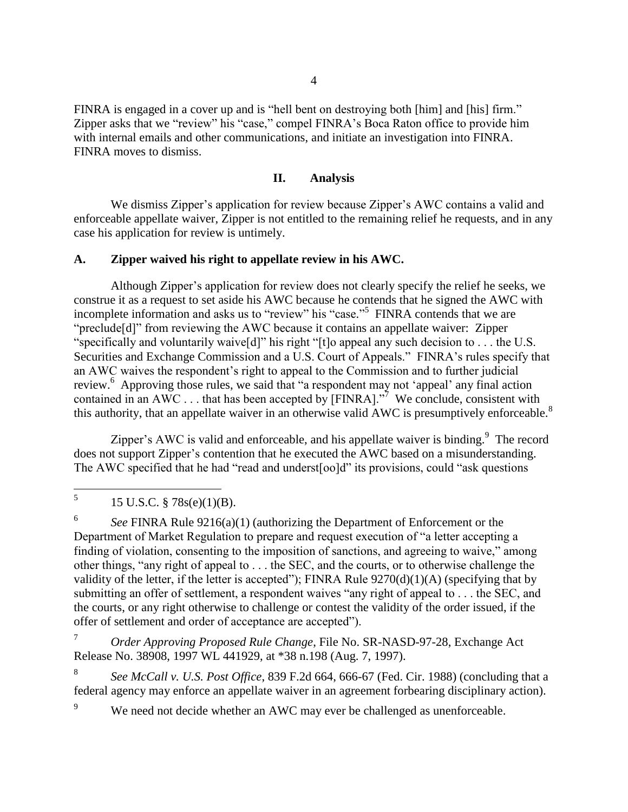FINRA is engaged in a cover up and is "hell bent on destroying both [him] and [his] firm." Zipper asks that we "review" his "case," compel FINRA's Boca Raton office to provide him with internal emails and other communications, and initiate an investigation into FINRA. FINRA moves to dismiss.

### **II. Analysis**

We dismiss Zipper's application for review because Zipper's AWC contains a valid and enforceable appellate waiver, Zipper is not entitled to the remaining relief he requests, and in any case his application for review is untimely.

#### **A. Zipper waived his right to appellate review in his AWC.**

Although Zipper's application for review does not clearly specify the relief he seeks, we construe it as a request to set aside his AWC because he contends that he signed the AWC with incomplete information and asks us to "review" his "case."<sup>5</sup> FINRA contends that we are "preclude[d]" from reviewing the AWC because it contains an appellate waiver: Zipper "specifically and voluntarily waive[d]" his right "[t]o appeal any such decision to . . . the U.S. Securities and Exchange Commission and a U.S. Court of Appeals." FINRA's rules specify that an AWC waives the respondent's right to appeal to the Commission and to further judicial review.<sup>6</sup> Approving those rules, we said that "a respondent may not 'appeal' any final action contained in an AWC . . . that has been accepted by [FINRA].<sup> $\frac{3}{7}$ </sup> We conclude, consistent with this authority, that an appellate waiver in an otherwise valid AWC is presumptively enforceable.<sup>8</sup>

Zipper's AWC is valid and enforceable, and his appellate waiver is binding. $9$  The record does not support Zipper's contention that he executed the AWC based on a misunderstanding. The AWC specified that he had "read and underst[oo]d" its provisions, could "ask questions

6 *See* FINRA Rule 9216(a)(1) (authorizing the Department of Enforcement or the Department of Market Regulation to prepare and request execution of "a letter accepting a finding of violation, consenting to the imposition of sanctions, and agreeing to waive," among other things, "any right of appeal to . . . the SEC, and the courts, or to otherwise challenge the validity of the letter, if the letter is accepted"); FINRA Rule 9270(d)(1)(A) (specifying that by submitting an offer of settlement, a respondent waives "any right of appeal to . . . the SEC, and the courts, or any right otherwise to challenge or contest the validity of the order issued, if the offer of settlement and order of acceptance are accepted").

<sup>7</sup> *Order Approving Proposed Rule Change*, File No. SR-NASD-97-28, Exchange Act Release No. 38908, 1997 WL 441929, at \*38 n.198 (Aug. 7, 1997).

8 *See McCall v. U.S. Post Office*, 839 F.2d 664, 666-67 (Fed. Cir. 1988) (concluding that a federal agency may enforce an appellate waiver in an agreement forbearing disciplinary action).

We need not decide whether an AWC may ever be challenged as unenforceable.

 5 15 U.S.C. § 78s(e)(1)(B).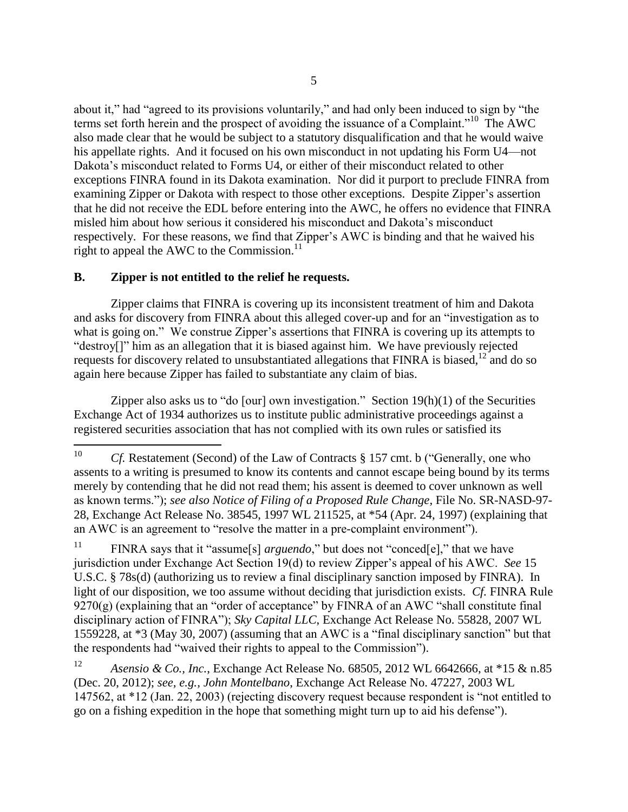about it," had "agreed to its provisions voluntarily," and had only been induced to sign by "the terms set forth herein and the prospect of avoiding the issuance of a Complaint."<sup>10</sup> The AWC also made clear that he would be subject to a statutory disqualification and that he would waive his appellate rights. And it focused on his own misconduct in not updating his Form U4—not Dakota's misconduct related to Forms U4, or either of their misconduct related to other exceptions FINRA found in its Dakota examination. Nor did it purport to preclude FINRA from examining Zipper or Dakota with respect to those other exceptions. Despite Zipper's assertion that he did not receive the EDL before entering into the AWC, he offers no evidence that FINRA misled him about how serious it considered his misconduct and Dakota's misconduct respectively. For these reasons, we find that Zipper's AWC is binding and that he waived his right to appeal the AWC to the Commission. $^{11}$ 

### **B. Zipper is not entitled to the relief he requests.**

Zipper claims that FINRA is covering up its inconsistent treatment of him and Dakota and asks for discovery from FINRA about this alleged cover-up and for an "investigation as to what is going on." We construe Zipper's assertions that FINRA is covering up its attempts to "destroy[]" him as an allegation that it is biased against him. We have previously rejected requests for discovery related to unsubstantiated allegations that FINRA is biased,  $12$  and do so again here because Zipper has failed to substantiate any claim of bias.

Zipper also asks us to "do [our] own investigation." Section  $19(h)(1)$  of the Securities Exchange Act of 1934 authorizes us to institute public administrative proceedings against a registered securities association that has not complied with its own rules or satisfied its

<sup>11</sup> FINRA says that it "assume[s] *arguendo*," but does not "conced[e]," that we have jurisdiction under Exchange Act Section 19(d) to review Zipper's appeal of his AWC. *See* 15 U.S.C. § 78s(d) (authorizing us to review a final disciplinary sanction imposed by FINRA). In light of our disposition, we too assume without deciding that jurisdiction exists. *Cf.* FINRA Rule  $9270(g)$  (explaining that an "order of acceptance" by FINRA of an AWC "shall constitute final disciplinary action of FINRA"); *Sky Capital LLC*, Exchange Act Release No. 55828, 2007 WL 1559228, at \*3 (May 30, 2007) (assuming that an AWC is a "final disciplinary sanction" but that the respondents had "waived their rights to appeal to the Commission").

<sup>12</sup> *Asensio & Co., Inc.*, Exchange Act Release No. 68505, 2012 WL 6642666, at \*15 & n.85 (Dec. 20, 2012); *see, e.g., John Montelbano*, Exchange Act Release No. 47227, 2003 WL 147562, at \*12 (Jan. 22, 2003) (rejecting discovery request because respondent is "not entitled to go on a fishing expedition in the hope that something might turn up to aid his defense").

 $10\,$ *Cf.* Restatement (Second) of the Law of Contracts § 157 cmt. b ("Generally, one who assents to a writing is presumed to know its contents and cannot escape being bound by its terms merely by contending that he did not read them; his assent is deemed to cover unknown as well as known terms."); *see also Notice of Filing of a Proposed Rule Change*, File No. SR-NASD-97- 28, Exchange Act Release No. 38545, 1997 WL 211525, at \*54 (Apr. 24, 1997) (explaining that an AWC is an agreement to "resolve the matter in a pre-complaint environment").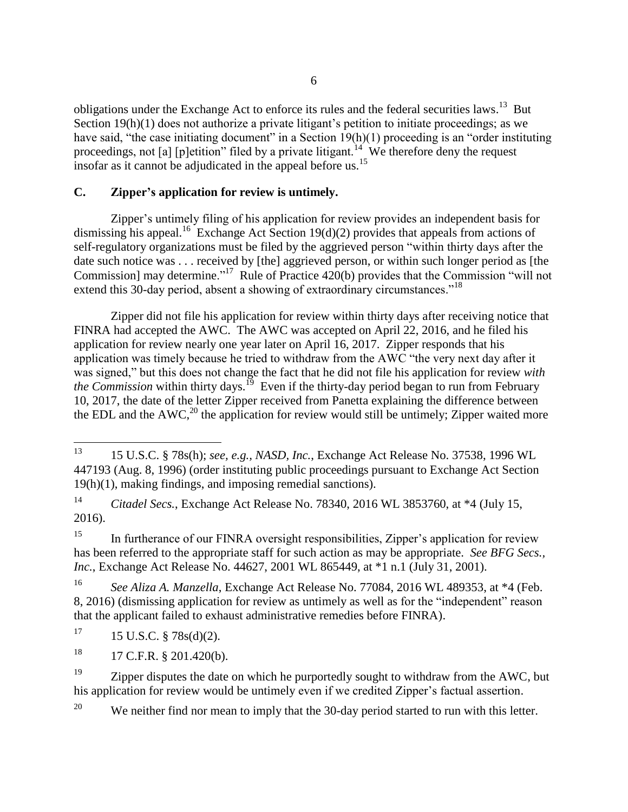obligations under the Exchange Act to enforce its rules and the federal securities laws.<sup>13</sup> But Section 19(h)(1) does not authorize a private litigant's petition to initiate proceedings; as we have said, "the case initiating document" in a Section 19(h)(1) proceeding is an "order instituting proceedings, not [a] [p]etition" filed by a private litigant.<sup>14</sup> We therefore deny the request insofar as it cannot be adjudicated in the appeal before us.<sup>15</sup>

### **C. Zipper's application for review is untimely.**

Zipper's untimely filing of his application for review provides an independent basis for dismissing his appeal.<sup>16</sup> Exchange Act Section 19(d)(2) provides that appeals from actions of self-regulatory organizations must be filed by the aggrieved person "within thirty days after the date such notice was . . . received by [the] aggrieved person, or within such longer period as [the Commission] may determine."<sup>17</sup> Rule of Practice 420(b) provides that the Commission "will not extend this 30-day period, absent a showing of extraordinary circumstances."<sup>18</sup>

Zipper did not file his application for review within thirty days after receiving notice that FINRA had accepted the AWC. The AWC was accepted on April 22, 2016, and he filed his application for review nearly one year later on April 16, 2017. Zipper responds that his application was timely because he tried to withdraw from the AWC "the very next day after it was signed," but this does not change the fact that he did not file his application for review *with*  the Commission within thirty days.<sup>19</sup> Even if the thirty-day period began to run from February 10, 2017, the date of the letter Zipper received from Panetta explaining the difference between the EDL and the AWC,<sup>20</sup> the application for review would still be untimely; Zipper waited more

<sup>14</sup> *Citadel Secs.*, Exchange Act Release No. 78340, 2016 WL 3853760, at \*4 (July 15, 2016).

<sup>15</sup> In furtherance of our FINRA oversight responsibilities, Zipper's application for review has been referred to the appropriate staff for such action as may be appropriate. *See BFG Secs., Inc.*, Exchange Act Release No. 44627, 2001 WL 865449, at \*1 n.1 (July 31, 2001).

<sup>16</sup> *See Aliza A. Manzella*, Exchange Act Release No. 77084, 2016 WL 489353, at \*4 (Feb. 8, 2016) (dismissing application for review as untimely as well as for the "independent" reason that the applicant failed to exhaust administrative remedies before FINRA).

 $17 \t15 \tU.S.C. \t§ 78s(d)(2).$ 

 $18$  17 C.F.R. § 201.420(b).

<sup>19</sup> Zipper disputes the date on which he purportedly sought to withdraw from the AWC, but his application for review would be untimely even if we credited Zipper's factual assertion.

<sup>20</sup> We neither find nor mean to imply that the 30-day period started to run with this letter.

<sup>13</sup> <sup>13</sup> 15 U.S.C. § 78s(h); *see, e.g., NASD, Inc.*, Exchange Act Release No. 37538, 1996 WL 447193 (Aug. 8, 1996) (order instituting public proceedings pursuant to Exchange Act Section 19(h)(1), making findings, and imposing remedial sanctions).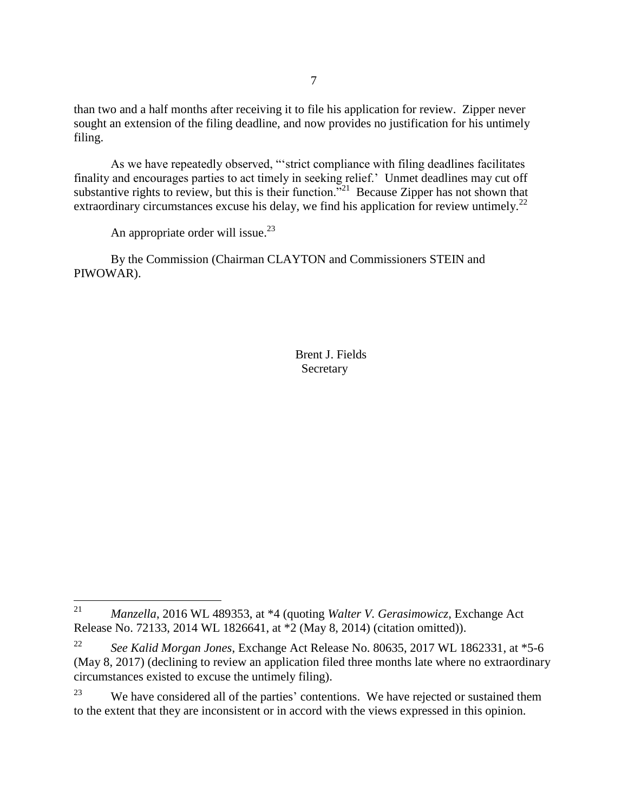than two and a half months after receiving it to file his application for review. Zipper never sought an extension of the filing deadline, and now provides no justification for his untimely filing.

As we have repeatedly observed, "'strict compliance with filing deadlines facilitates finality and encourages parties to act timely in seeking relief.' Unmet deadlines may cut off substantive rights to review, but this is their function.<sup> $521$ </sup> Because Zipper has not shown that extraordinary circumstances excuse his delay, we find his application for review untimely.<sup>22</sup>

An appropriate order will issue.<sup>23</sup>

By the Commission (Chairman CLAYTON and Commissioners STEIN and PIWOWAR).

> Brent J. Fields Secretary

<sup>21</sup> <sup>21</sup> *Manzella*, 2016 WL 489353, at \*4 (quoting *Walter V. Gerasimowicz*, Exchange Act Release No. 72133, 2014 WL 1826641, at \*2 (May 8, 2014) (citation omitted)).

<sup>22</sup> *See Kalid Morgan Jones*, Exchange Act Release No. 80635, 2017 WL 1862331, at \*5-6 (May 8, 2017) (declining to review an application filed three months late where no extraordinary circumstances existed to excuse the untimely filing).

<sup>&</sup>lt;sup>23</sup> We have considered all of the parties' contentions. We have rejected or sustained them to the extent that they are inconsistent or in accord with the views expressed in this opinion.